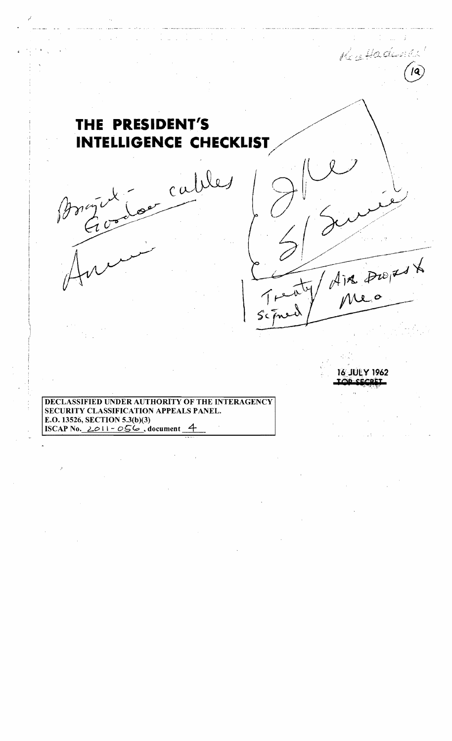## **THE PRESIDENT'S** /' **INTELLIGENCE CHECKLIST**  $\left(\begin{array}{ccc} \frac{1}{2} & \frac{1}{2} & \frac{1}{2} \\ \frac{1}{2} & \frac{1}{2} & \frac{1}{2} & \frac{1}{2} \end{array}\right)$

cal

Bry Locales

**/** 

DECLASSIFIED UNDER AUTHORITY OF THE INTERAGENCY SECURITY CLASSIFICATION APPEALS PANEL. E.O.13526, SECTION 5.3(b)(3) ISCAP No.  $2011 - 056$ , document

r4')U~Y **1962** 

 $\geq$ //'

Recorded Change

 $\overline{I}$ '~ .

lQP·"~~';1

 $\leq$ 

 $T = \frac{1}{2} \int \frac{1}{\pi} \frac{1}{\pi} e^{-\frac{1}{2} \left( \frac{1}{2} \right)}$ 

 $s$ chien/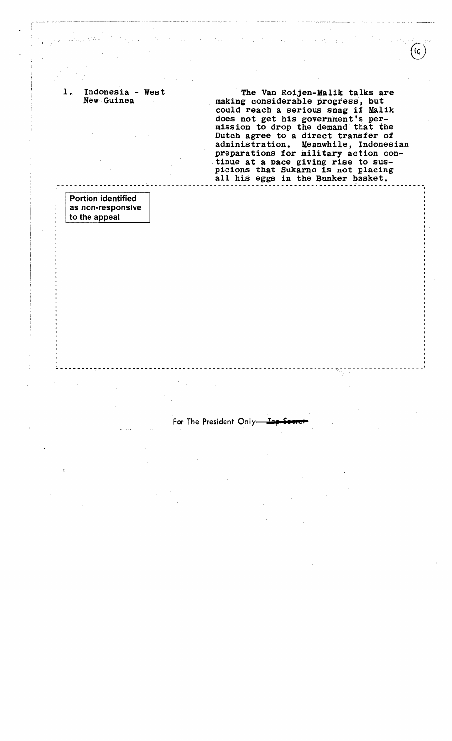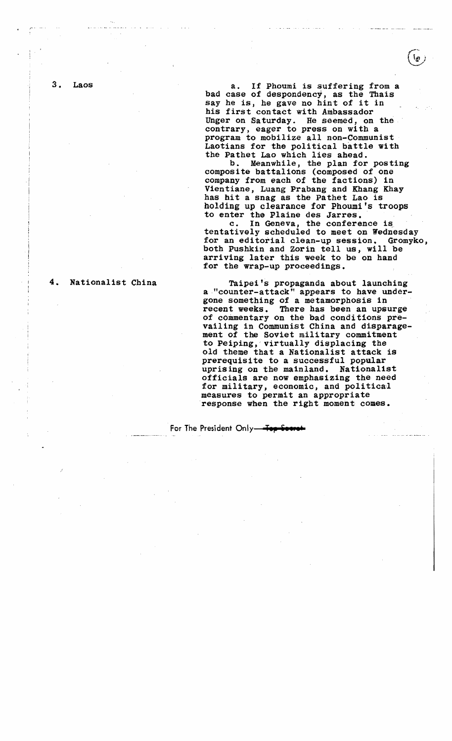3. Laos

i  $\mathbf{I}$ 

a. If Phoumi is suffering from a bad case of despondency, as the Thais say he is, he gave no hint of it in his first contact with Ambassador Unger on Saturday. He seemed, on the contrary, eager to press on with a program to mobilize all non-Communist Laotians for the political battle with the Pathet Lao which lies ahead.<br>b. Meanwhile, the plan for posting

composite battalions (composed of one company from each of the factions) in Vientiane, Luang Prabang and Khang Khay has hit a snag as the Pathet Lao is holding up clearance for Phoumi's troops to enter the Plaine des Jarres.

c. In Geneva, the conference is tentatively scheduled to meet on Wednesday for an editorial clean-up session. Gromyko, both Pushkin and Zorin tell us, will be arriving later this week to be on hand for the wrap-up proceedings.

Taipei's propaganda about launching a ."counter-attack" appears to have undergone something of a metamorphosis in recent weeks. There has been an upsurge of commentary on the bad conditions prevailing in Communist China and disparagement of the Soviet military commitment to Peiping,'virtually displacing the old theme that a Nationalist attack is prerequisite to a successful popular uprising on the mainland. Nationalist officials are now emphasizing the need for military, economic, and political measures to permit an appropriate response when the right moment comes.

**For The President Only** To

4. Nationalist China

 $\mathfrak{p}$  ,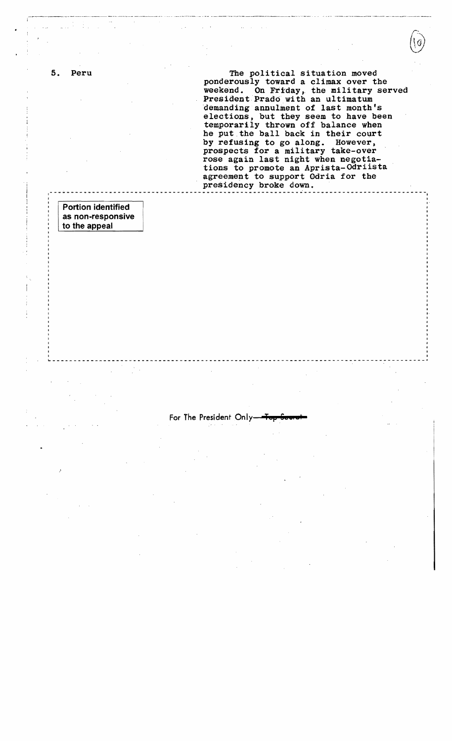5. Peru

The political situation moved ponderously toward a climax over the weekend. On Friday, the military served President Prado with an ultimatum demanding annulment of last month's elections, but they seem to have been temporarily thrown off balance when he put the ball back in their court by refusing to go along. However, prospects for a military take-over rose again last night when negotiations to promote an Aprista-Odriista agreement to support Odria for the presidency broke down.

**Portion identified** as non-responsive to the appeal

For The President Only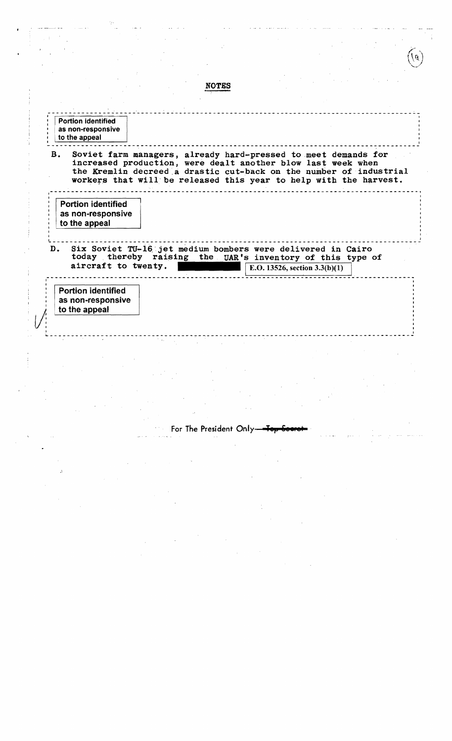NOTBS ------------------~----- --------------------------------------------------------<sup>I</sup> Portion identified , i as non-responsive , i as non-responsive , i as non-responsive , i as non-responsive , i to the appeal B. Soviet farm managers, already hard-pressed to meet demands for increased production, were dealt another blow last week when the Kremlin decreed:a drastic cut-back on the number of industrial workers that will be released this year to help with the harvest. Portion identified as non-responsive to the appeal  $\frac{1}{4}$ D. Six Soviet TU-16 jet medium bombers were delivered in Cairo today thereby raising the UAR's inventory of this type of aircraft to twenty.  $E.D. 13526$ , section  $3.3(b)(1)$ , -- ----- ----- - ----- -------- -------- ----- ------------ -- --------------- Portion identified as non-responsive to the appeal I 1 ~--------------------------------------------------------------------- --- -----

For The President Only